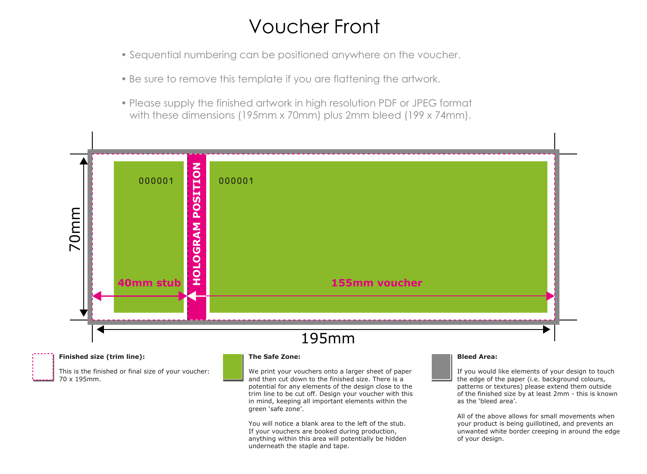# Voucher Front

- Sequential numbering can be positioned anywhere on the voucher.
- Be sure to remove this template if you are flattening the artwork.
- Please supply the finished artwork in high resolution PDF or JPEG format with these dimensions (195mm x 70mm) plus 2mm bleed (199 x 74mm).



**Finished size (trim line):**

This is the finished or final size of your voucher: 70 x 195mm.

### **The Safe Zone:**

We print your vouchers onto a larger sheet of paper and then cut down to the finished size. There is a potential for any elements of the design close to the trim line to be cut off. Design your voucher with this in mind, keeping all important elements within the green 'safe zone'.

You will notice a blank area to the left of the stub. If your vouchers are booked during production, anything within this area will potentially be hidden underneath the staple and tape.

#### **Bleed Area:**

If you would like elements of your design to touch the edge of the paper (i.e. background colours, patterns or textures) please extend them outside of the finished size by at least 2mm - this is known as the 'bleed area'.

All of the above allows for small movements when your product is being guillotined, and prevents an unwanted white border creeping in around the edge of your design.